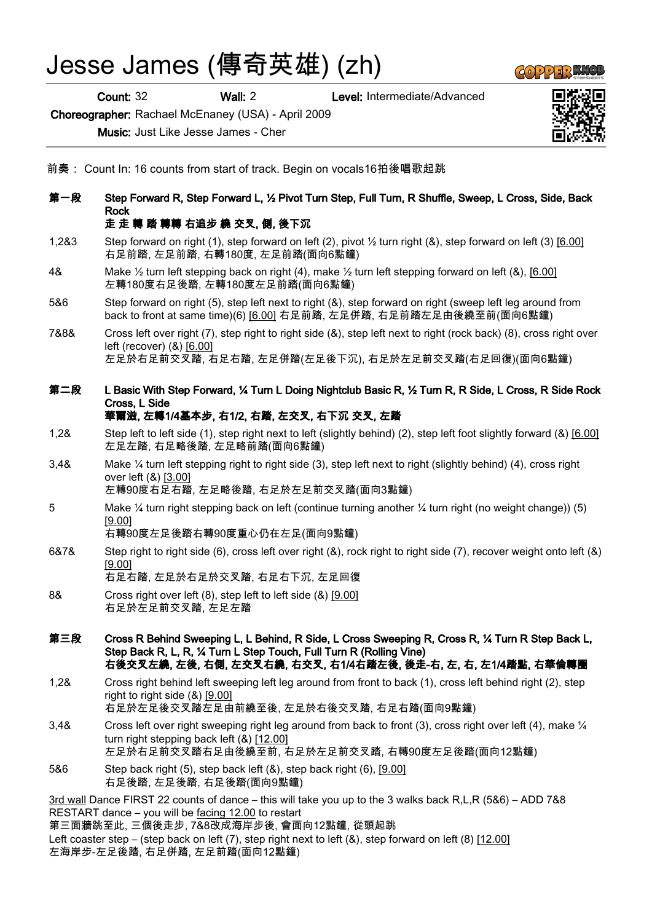## Jesse James (傳奇英雄) (zh)

Count: 32 Wall: 2 Level: Intermediate/Advanced

Choreographer: Rachael McEnaney (USA) - April 2009

Music: Just Like Jesse James - Cher



- 前奏: Count In: 16 counts from start of track. Begin on vocals16拍後唱歌起跳
- 第一段 Step Forward R, Step Forward L, ½ Pivot Turn Step, Full Turn, R Shuffle, Sweep, L Cross, Side, Back Rock 走 走 轉 踏 轉轉 右追步 繞 交叉, 側, 後下沉
- 1,2&3 Step forward on right (1), step forward on left (2), pivot ½ turn right (&), step forward on left (3) [6.00] 右足前踏, 左足前踏, 右轉180度, 左足前踏(面向6點鐘)
- 4& Make ½ turn left stepping back on right (4), make ½ turn left stepping forward on left (&), [6.00] 左轉180度右足後踏, 左轉180度左足前踏(面向6點鐘)
- 5&6 Step forward on right (5), step left next to right (&), step forward on right (sweep left leg around from back to front at same time)(6) [6.00] 右足前踏, 左足併踏, 右足前踏左足由後繞至前(面向6點鐘)
- 7&8& Cross left over right (7), step right to right side (&), step left next to right (rock back) (8), cross right over left (recover) (&) [6.00] 左足於右足前交叉踏, 右足右踏, 左足併踏(左足後下沉), 右足於左足前交叉踏(右足回復)(面向6點鐘)
- 第二段 L Basic With Step Forward, ¼ Turn L Doing Nightclub Basic R, ½ Turn R, R Side, L Cross, R Side Rock Cross, L Side 華爾滋, 左轉1/4基本步, 右1/2, 右踏, 左交叉, 右下沉 交叉, 左踏
- 1,2& Step left to left side (1), step right next to left (slightly behind) (2), step left foot slightly forward (&) [6.00] 左足左踏, 右足略後踏, 左足略前踏(面向6點鐘)
- 3,4& Make ¼ turn left stepping right to right side (3), step left next to right (slightly behind) (4), cross right over left (&) [3.00] 左轉90度右足右踏, 左足略後踏, 右足於左足前交叉踏(面向3點鐘)
- 5 Make ¼ turn right stepping back on left (continue turning another ¼ turn right (no weight change)) (5) [9.00]

右轉90度左足後踏右轉90度重心仍在左足(面向9點鐘)

6&7& Step right to right side (6), cross left over right (&), rock right to right side (7), recover weight onto left (&) [9.00]

右足右踏, 左足於右足於交叉踏, 右足右下沉, 左足回復

- 8& Cross right over left (8), step left to left side (&) [9.00] 右足於左足前交叉踏, 左足左踏
- 第三段 Cross R Behind Sweeping L, L Behind, R Side, L Cross Sweeping R, Cross R, ¼ Turn R Step Back L, Step Back R, L, R, ¼ Turn L Step Touch, Full Turn R (Rolling Vine) 右後交叉左繞, 左後, 右側, 左交叉右繞, 右交叉, 右1/4右踏左後, 後走-右, 左, 右, 左1/4踏點, 右華倫轉圈
- 1,2& Cross right behind left sweeping left leg around from front to back (1), cross left behind right (2), step right to right side (&) [9.00] 右足於左足後交叉踏左足由前繞至後, 左足於右後交叉踏, 右足右踏(面向9點鐘)
- 3,4& Cross left over right sweeping right leg around from back to front (3), cross right over left (4), make ¼ turn right stepping back left (&) [12.00] 左足於右足前交叉踏右足由後繞至前, 右足於左足前交叉踏, 右轉90度左足後踏(面向12點鐘)
- 5&6 Step back right (5), step back left (&), step back right (6), [9.00] 右足後踏, 左足後踏, 右足後踏(面向9點鐘)

3rd wall Dance FIRST 22 counts of dance – this will take you up to the 3 walks back R,L,R (5&6) – ADD 7&8 RESTART dance – you will be facing 12.00 to restart

第三面牆跳至此, 三個後走步, 7&8改成海岸步後, 會面向12點鐘, 從頭起跳 Left coaster step – (step back on left (7), step right next to left (&), step forward on left (8) [12.00] 左海岸步-左足後踏, 右足併踏, 左足前踏(面向12點鐘)